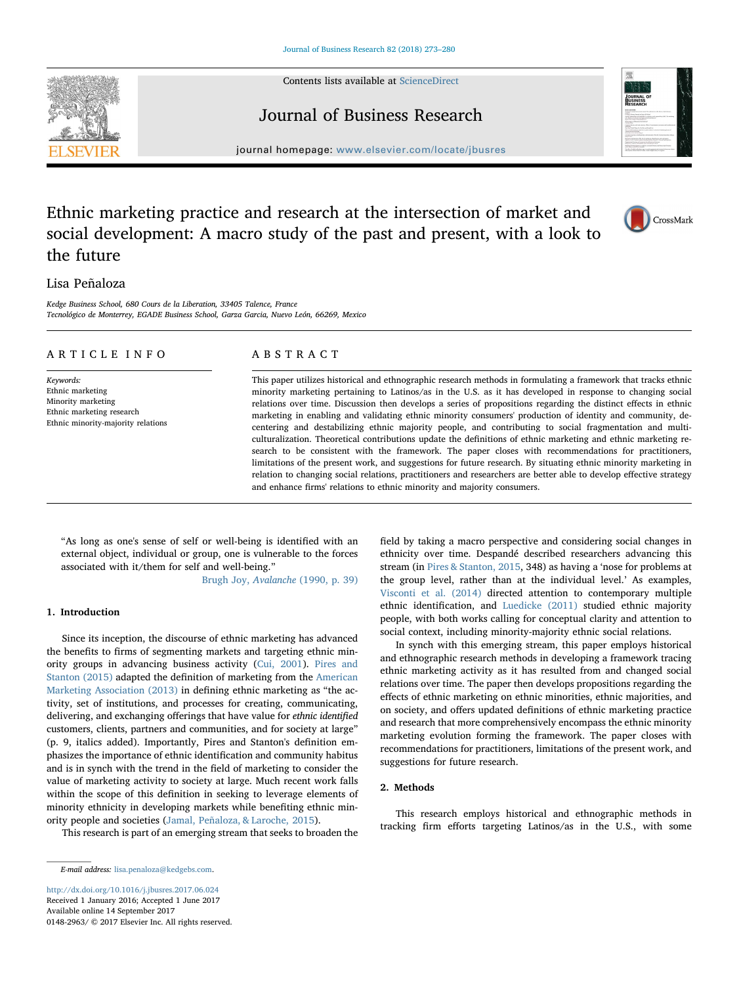Contents lists available at [ScienceDirect](http://www.sciencedirect.com/science/journal/01482963)





CrossMark

## Journal of Business Research

journal homepage: [www.elsevier.com/locate/jbusres](http://www.elsevier.com/locate/jbusres)

# Ethnic marketing practice and research at the intersection of market and social development: A macro study of the past and present, with a look to the future

### Lisa Peñaloza

Kedge Business School, 680 Cours de la Liberation, 33405 Talence, France Tecnológico de Monterrey, EGADE Business School, Garza Garcia, Nuevo León, 66269, Mexico

#### ARTICLE INFO

Keywords: Ethnic marketing Minority marketing Ethnic marketing research Ethnic minority-majority relations

#### ABSTRACT

This paper utilizes historical and ethnographic research methods in formulating a framework that tracks ethnic minority marketing pertaining to Latinos/as in the U.S. as it has developed in response to changing social relations over time. Discussion then develops a series of propositions regarding the distinct effects in ethnic marketing in enabling and validating ethnic minority consumers' production of identity and community, decentering and destabilizing ethnic majority people, and contributing to social fragmentation and multiculturalization. Theoretical contributions update the definitions of ethnic marketing and ethnic marketing research to be consistent with the framework. The paper closes with recommendations for practitioners, limitations of the present work, and suggestions for future research. By situating ethnic minority marketing in relation to changing social relations, practitioners and researchers are better able to develop effective strategy and enhance firms' relations to ethnic minority and majority consumers.

"As long as one's sense of self or well-being is identified with an external object, individual or group, one is vulnerable to the forces associated with it/them for self and well-being."

Brugh Joy, Avalanche [\(1990, p. 39\)](#page-6-0)

#### 1. Introduction

Since its inception, the discourse of ethnic marketing has advanced the benefits to firms of segmenting markets and targeting ethnic minority groups in advancing business activity [\(Cui, 2001](#page-6-1)). [Pires and](#page-7-0) [Stanton \(2015\)](#page-7-0) adapted the definition of marketing from the [American](#page-6-2) [Marketing Association \(2013\)](#page-6-2) in defining ethnic marketing as "the activity, set of institutions, and processes for creating, communicating, delivering, and exchanging offerings that have value for ethnic identified customers, clients, partners and communities, and for society at large" (p. 9, italics added). Importantly, Pires and Stanton's definition emphasizes the importance of ethnic identification and community habitus and is in synch with the trend in the field of marketing to consider the value of marketing activity to society at large. Much recent work falls within the scope of this definition in seeking to leverage elements of minority ethnicity in developing markets while benefiting ethnic minority people and societies [\(Jamal, Peñaloza, & Laroche, 2015\)](#page-6-3).

This research is part of an emerging stream that seeks to broaden the

E-mail address: [lisa.penaloza@kedgebs.com.](mailto:lisa.penaloza@kedgebs.com)

<http://dx.doi.org/10.1016/j.jbusres.2017.06.024> Received 1 January 2016; Accepted 1 June 2017 Available online 14 September 2017 0148-2963/ © 2017 Elsevier Inc. All rights reserved. field by taking a macro perspective and considering social changes in ethnicity over time. Despandé described researchers advancing this stream (in [Pires & Stanton, 2015,](#page-7-0) 348) as having a 'nose for problems at the group level, rather than at the individual level.' As examples, [Visconti et al. \(2014\)](#page-7-1) directed attention to contemporary multiple ethnic identification, and [Luedicke \(2011\)](#page-6-4) studied ethnic majority people, with both works calling for conceptual clarity and attention to social context, including minority-majority ethnic social relations.

In synch with this emerging stream, this paper employs historical and ethnographic research methods in developing a framework tracing ethnic marketing activity as it has resulted from and changed social relations over time. The paper then develops propositions regarding the effects of ethnic marketing on ethnic minorities, ethnic majorities, and on society, and offers updated definitions of ethnic marketing practice and research that more comprehensively encompass the ethnic minority marketing evolution forming the framework. The paper closes with recommendations for practitioners, limitations of the present work, and suggestions for future research.

#### 2. Methods

This research employs historical and ethnographic methods in tracking firm efforts targeting Latinos/as in the U.S., with some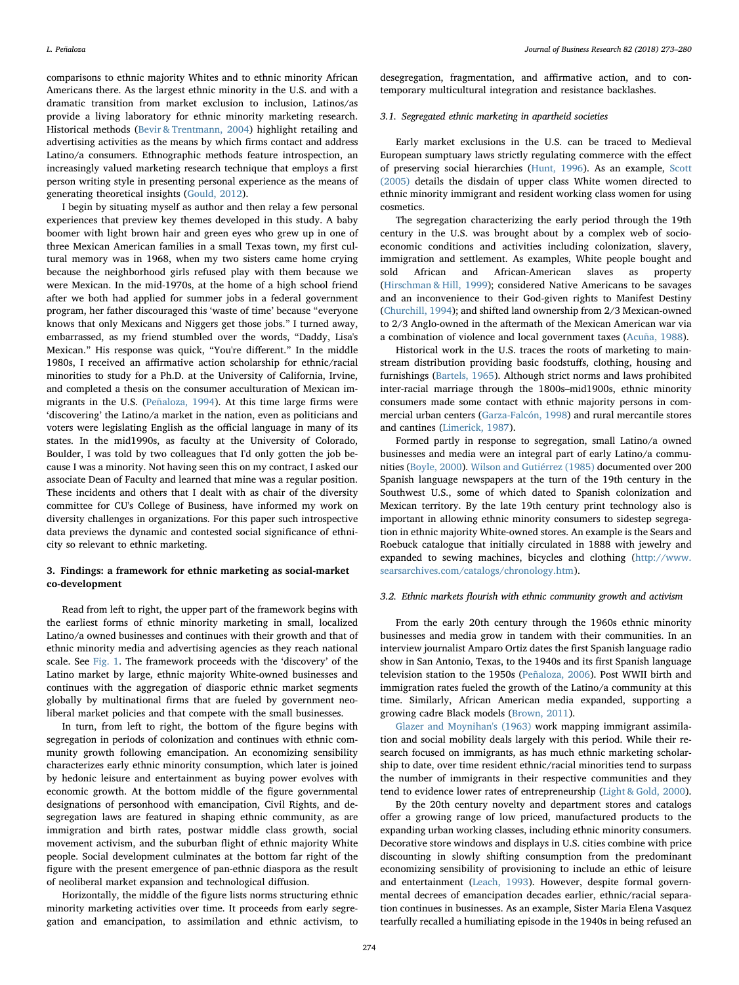comparisons to ethnic majority Whites and to ethnic minority African Americans there. As the largest ethnic minority in the U.S. and with a dramatic transition from market exclusion to inclusion, Latinos/as provide a living laboratory for ethnic minority marketing research. Historical methods [\(Bevir & Trentmann, 2004\)](#page-6-5) highlight retailing and advertising activities as the means by which firms contact and address Latino/a consumers. Ethnographic methods feature introspection, an increasingly valued marketing research technique that employs a first person writing style in presenting personal experience as the means of generating theoretical insights [\(Gould, 2012](#page-6-6)).

I begin by situating myself as author and then relay a few personal experiences that preview key themes developed in this study. A baby boomer with light brown hair and green eyes who grew up in one of three Mexican American families in a small Texas town, my first cultural memory was in 1968, when my two sisters came home crying because the neighborhood girls refused play with them because we were Mexican. In the mid-1970s, at the home of a high school friend after we both had applied for summer jobs in a federal government program, her father discouraged this 'waste of time' because "everyone knows that only Mexicans and Niggers get those jobs." I turned away, embarrassed, as my friend stumbled over the words, "Daddy, Lisa's Mexican." His response was quick, "You're different." In the middle 1980s, I received an affirmative action scholarship for ethnic/racial minorities to study for a Ph.D. at the University of California, Irvine, and completed a thesis on the consumer acculturation of Mexican immigrants in the U.S. ([Peñaloza, 1994](#page-7-2)). At this time large firms were 'discovering' the Latino/a market in the nation, even as politicians and voters were legislating English as the official language in many of its states. In the mid1990s, as faculty at the University of Colorado, Boulder, I was told by two colleagues that I'd only gotten the job because I was a minority. Not having seen this on my contract, I asked our associate Dean of Faculty and learned that mine was a regular position. These incidents and others that I dealt with as chair of the diversity committee for CU's College of Business, have informed my work on diversity challenges in organizations. For this paper such introspective data previews the dynamic and contested social significance of ethnicity so relevant to ethnic marketing.

#### 3. Findings: a framework for ethnic marketing as social-market co-development

Read from left to right, the upper part of the framework begins with the earliest forms of ethnic minority marketing in small, localized Latino/a owned businesses and continues with their growth and that of ethnic minority media and advertising agencies as they reach national scale. See [Fig. 1.](#page-2-0) The framework proceeds with the 'discovery' of the Latino market by large, ethnic majority White-owned businesses and continues with the aggregation of diasporic ethnic market segments globally by multinational firms that are fueled by government neoliberal market policies and that compete with the small businesses.

In turn, from left to right, the bottom of the figure begins with segregation in periods of colonization and continues with ethnic community growth following emancipation. An economizing sensibility characterizes early ethnic minority consumption, which later is joined by hedonic leisure and entertainment as buying power evolves with economic growth. At the bottom middle of the figure governmental designations of personhood with emancipation, Civil Rights, and desegregation laws are featured in shaping ethnic community, as are immigration and birth rates, postwar middle class growth, social movement activism, and the suburban flight of ethnic majority White people. Social development culminates at the bottom far right of the figure with the present emergence of pan-ethnic diaspora as the result of neoliberal market expansion and technological diffusion.

Horizontally, the middle of the figure lists norms structuring ethnic minority marketing activities over time. It proceeds from early segregation and emancipation, to assimilation and ethnic activism, to

desegregation, fragmentation, and affirmative action, and to contemporary multicultural integration and resistance backlashes.

#### 3.1. Segregated ethnic marketing in apartheid societies

Early market exclusions in the U.S. can be traced to Medieval European sumptuary laws strictly regulating commerce with the effect of preserving social hierarchies [\(Hunt, 1996](#page-6-7)). As an example, [Scott](#page-7-3) [\(2005\)](#page-7-3) details the disdain of upper class White women directed to ethnic minority immigrant and resident working class women for using cosmetics.

The segregation characterizing the early period through the 19th century in the U.S. was brought about by a complex web of socioeconomic conditions and activities including colonization, slavery, immigration and settlement. As examples, White people bought and sold African and African-American slaves as property ([Hirschman & Hill, 1999](#page-6-8)); considered Native Americans to be savages and an inconvenience to their God-given rights to Manifest Destiny ([Churchill, 1994](#page-6-9)); and shifted land ownership from 2/3 Mexican-owned to 2/3 Anglo-owned in the aftermath of the Mexican American war via a combination of violence and local government taxes [\(Acuña, 1988](#page-6-10)).

Historical work in the U.S. traces the roots of marketing to mainstream distribution providing basic foodstuffs, clothing, housing and furnishings [\(Bartels, 1965](#page-6-11)). Although strict norms and laws prohibited inter-racial marriage through the 1800s–mid1900s, ethnic minority consumers made some contact with ethnic majority persons in commercial urban centers ([Garza-Falcón, 1998](#page-6-12)) and rural mercantile stores and cantines ([Limerick, 1987\)](#page-6-13).

Formed partly in response to segregation, small Latino/a owned businesses and media were an integral part of early Latino/a communities ([Boyle, 2000](#page-6-14)). [Wilson and Gutiérrez \(1985\)](#page-7-4) documented over 200 Spanish language newspapers at the turn of the 19th century in the Southwest U.S., some of which dated to Spanish colonization and Mexican territory. By the late 19th century print technology also is important in allowing ethnic minority consumers to sidestep segregation in ethnic majority White-owned stores. An example is the Sears and Roebuck catalogue that initially circulated in 1888 with jewelry and expanded to sewing machines, bicycles and clothing [\(http://www.](http://www.searsarchives.com/catalogs/chronology.htm) [searsarchives.com/catalogs/chronology.htm\)](http://www.searsarchives.com/catalogs/chronology.htm).

#### 3.2. Ethnic markets flourish with ethnic community growth and activism

From the early 20th century through the 1960s ethnic minority businesses and media grow in tandem with their communities. In an interview journalist Amparo Ortiz dates the first Spanish language radio show in San Antonio, Texas, to the 1940s and its first Spanish language television station to the 1950s [\(Peñaloza, 2006\)](#page-7-5). Post WWII birth and immigration rates fueled the growth of the Latino/a community at this time. Similarly, African American media expanded, supporting a growing cadre Black models ([Brown, 2011\)](#page-6-15).

[Glazer and Moynihan's \(1963\)](#page-6-16) work mapping immigrant assimilation and social mobility deals largely with this period. While their research focused on immigrants, as has much ethnic marketing scholarship to date, over time resident ethnic/racial minorities tend to surpass the number of immigrants in their respective communities and they tend to evidence lower rates of entrepreneurship [\(Light & Gold, 2000](#page-6-17)).

By the 20th century novelty and department stores and catalogs offer a growing range of low priced, manufactured products to the expanding urban working classes, including ethnic minority consumers. Decorative store windows and displays in U.S. cities combine with price discounting in slowly shifting consumption from the predominant economizing sensibility of provisioning to include an ethic of leisure and entertainment [\(Leach, 1993](#page-6-18)). However, despite formal governmental decrees of emancipation decades earlier, ethnic/racial separation continues in businesses. As an example, Sister Maria Elena Vasquez tearfully recalled a humiliating episode in the 1940s in being refused an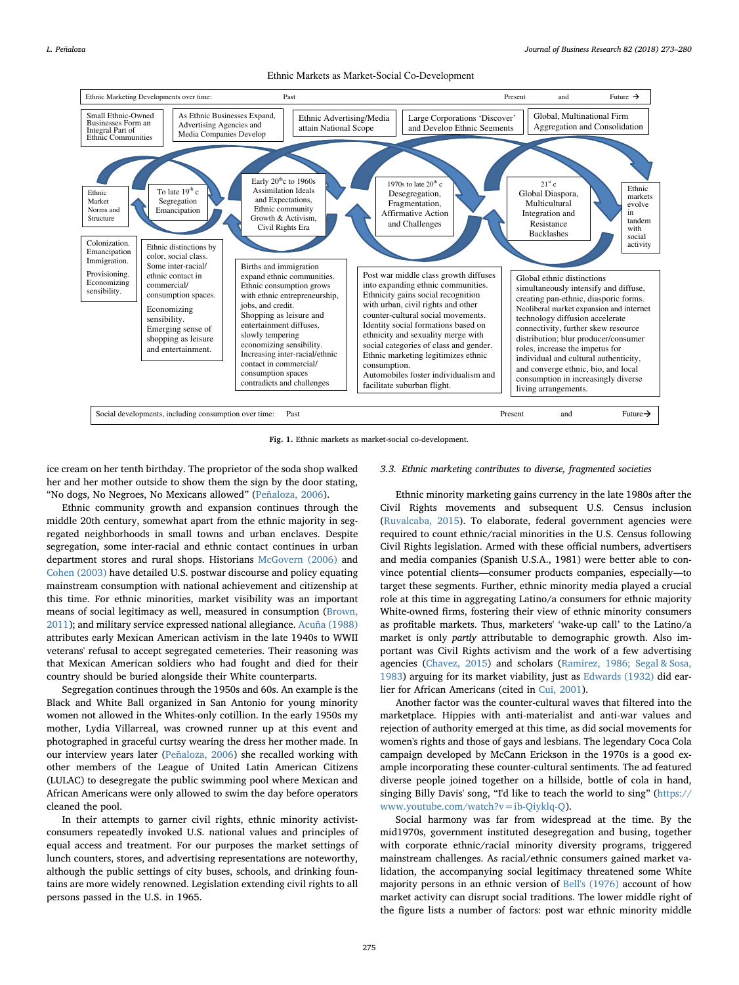#### Ethnic Markets as Market-Social Co-Development

<span id="page-2-0"></span>

Fig. 1. Ethnic markets as market-social co-development.

ice cream on her tenth birthday. The proprietor of the soda shop walked her and her mother outside to show them the sign by the door stating, "No dogs, No Negroes, No Mexicans allowed" [\(Peñaloza, 2006\)](#page-7-5).

Ethnic community growth and expansion continues through the middle 20th century, somewhat apart from the ethnic majority in segregated neighborhoods in small towns and urban enclaves. Despite segregation, some inter-racial and ethnic contact continues in urban department stores and rural shops. Historians [McGovern \(2006\)](#page-6-19) and [Cohen \(2003\)](#page-6-20) have detailed U.S. postwar discourse and policy equating mainstream consumption with national achievement and citizenship at this time. For ethnic minorities, market visibility was an important means of social legitimacy as well, measured in consumption [\(Brown,](#page-6-15) [2011\)](#page-6-15); and military service expressed national allegiance. [Acuña \(1988\)](#page-6-10) attributes early Mexican American activism in the late 1940s to WWII veterans' refusal to accept segregated cemeteries. Their reasoning was that Mexican American soldiers who had fought and died for their country should be buried alongside their White counterparts.

Segregation continues through the 1950s and 60s. An example is the Black and White Ball organized in San Antonio for young minority women not allowed in the Whites-only cotillion. In the early 1950s my mother, Lydia Villarreal, was crowned runner up at this event and photographed in graceful curtsy wearing the dress her mother made. In our interview years later [\(Peñaloza, 2006](#page-7-5)) she recalled working with other members of the League of United Latin American Citizens (LULAC) to desegregate the public swimming pool where Mexican and African Americans were only allowed to swim the day before operators cleaned the pool.

In their attempts to garner civil rights, ethnic minority activistconsumers repeatedly invoked U.S. national values and principles of equal access and treatment. For our purposes the market settings of lunch counters, stores, and advertising representations are noteworthy, although the public settings of city buses, schools, and drinking fountains are more widely renowned. Legislation extending civil rights to all persons passed in the U.S. in 1965.

#### 3.3. Ethnic marketing contributes to diverse, fragmented societies

Ethnic minority marketing gains currency in the late 1980s after the Civil Rights movements and subsequent U.S. Census inclusion ([Ruvalcaba, 2015](#page-7-6)). To elaborate, federal government agencies were required to count ethnic/racial minorities in the U.S. Census following Civil Rights legislation. Armed with these official numbers, advertisers and media companies (Spanish U.S.A., 1981) were better able to convince potential clients—consumer products companies, especially—to target these segments. Further, ethnic minority media played a crucial role at this time in aggregating Latino/a consumers for ethnic majority White-owned firms, fostering their view of ethnic minority consumers as profitable markets. Thus, marketers' 'wake-up call' to the Latino/a market is only partly attributable to demographic growth. Also important was Civil Rights activism and the work of a few advertising agencies ([Chavez, 2015](#page-6-21)) and scholars ([Ramirez, 1986; Segal & Sosa,](#page-7-7) [1983\)](#page-7-7) arguing for its market viability, just as [Edwards \(1932\)](#page-6-22) did earlier for African Americans (cited in [Cui, 2001](#page-6-1)).

Another factor was the counter-cultural waves that filtered into the marketplace. Hippies with anti-materialist and anti-war values and rejection of authority emerged at this time, as did social movements for women's rights and those of gays and lesbians. The legendary Coca Cola campaign developed by McCann Erickson in the 1970s is a good example incorporating these counter-cultural sentiments. The ad featured diverse people joined together on a hillside, bottle of cola in hand, singing Billy Davis' song, "I'd like to teach the world to sing" [\(https://](https://www.youtube.com/watch?v=ib-Qiyklq-Q) [www.youtube.com/watch?v=ib-Qiyklq-Q\)](https://www.youtube.com/watch?v=ib-Qiyklq-Q).

Social harmony was far from widespread at the time. By the mid1970s, government instituted desegregation and busing, together with corporate ethnic/racial minority diversity programs, triggered mainstream challenges. As racial/ethnic consumers gained market validation, the accompanying social legitimacy threatened some White majority persons in an ethnic version of [Bell's \(1976\)](#page-6-23) account of how market activity can disrupt social traditions. The lower middle right of the figure lists a number of factors: post war ethnic minority middle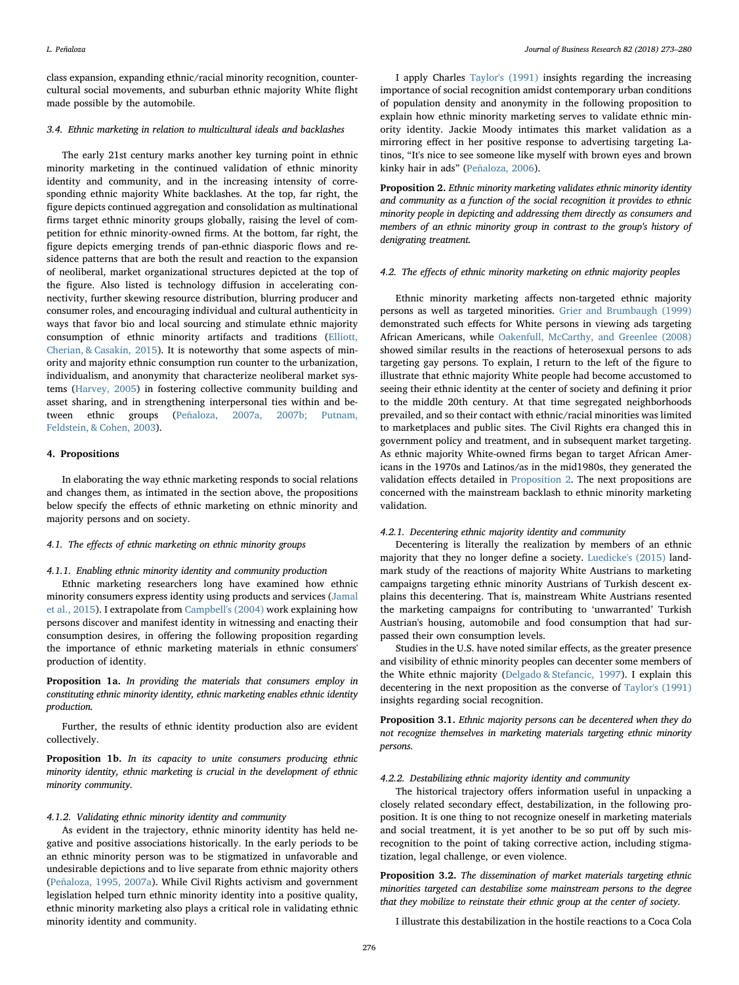class expansion, expanding ethnic/racial minority recognition, countercultural social movements, and suburban ethnic majority White flight made possible by the automobile.

#### 3.4. Ethnic marketing in relation to multicultural ideals and backlashes

The early 21st century marks another key turning point in ethnic minority marketing in the continued validation of ethnic minority identity and community, and in the increasing intensity of corresponding ethnic majority White backlashes. At the top, far right, the figure depicts continued aggregation and consolidation as multinational firms target ethnic minority groups globally, raising the level of competition for ethnic minority-owned firms. At the bottom, far right, the figure depicts emerging trends of pan-ethnic diasporic flows and residence patterns that are both the result and reaction to the expansion of neoliberal, market organizational structures depicted at the top of the figure. Also listed is technology diffusion in accelerating connectivity, further skewing resource distribution, blurring producer and consumer roles, and encouraging individual and cultural authenticity in ways that favor bio and local sourcing and stimulate ethnic majority consumption of ethnic minority artifacts and traditions ([Elliott,](#page-6-24) [Cherian, & Casakin, 2015\)](#page-6-24). It is noteworthy that some aspects of minority and majority ethnic consumption run counter to the urbanization, individualism, and anonymity that characterize neoliberal market systems ([Harvey, 2005](#page-6-25)) in fostering collective community building and asset sharing, and in strengthening interpersonal ties within and between ethnic groups [\(Peñaloza, 2007a, 2007b; Putnam,](#page-7-8) [Feldstein, & Cohen, 2003\)](#page-7-8).

#### 4. Propositions

In elaborating the way ethnic marketing responds to social relations and changes them, as intimated in the section above, the propositions below specify the effects of ethnic marketing on ethnic minority and majority persons and on society.

#### 4.1. The effects of ethnic marketing on ethnic minority groups

#### 4.1.1. Enabling ethnic minority identity and community production

Ethnic marketing researchers long have examined how ethnic minority consumers express identity using products and services ([Jamal](#page-6-3) [et al., 2015\)](#page-6-3). I extrapolate from [Campbell's \(2004\)](#page-6-26) work explaining how persons discover and manifest identity in witnessing and enacting their consumption desires, in offering the following proposition regarding the importance of ethnic marketing materials in ethnic consumers' production of identity.

<span id="page-3-1"></span>Proposition 1a. In providing the materials that consumers employ in constituting ethnic minority identity, ethnic marketing enables ethnic identity production.

Further, the results of ethnic identity production also are evident collectively.

Proposition 1b. In its capacity to unite consumers producing ethnic minority identity, ethnic marketing is crucial in the development of ethnic minority community.

#### 4.1.2. Validating ethnic minority identity and community

As evident in the trajectory, ethnic minority identity has held negative and positive associations historically. In the early periods to be an ethnic minority person was to be stigmatized in unfavorable and undesirable depictions and to live separate from ethnic majority others ([Peñaloza, 1995, 2007a](#page-7-9)). While Civil Rights activism and government legislation helped turn ethnic minority identity into a positive quality, ethnic minority marketing also plays a critical role in validating ethnic minority identity and community.

I apply Charles [Taylor's \(1991\)](#page-7-10) insights regarding the increasing importance of social recognition amidst contemporary urban conditions of population density and anonymity in the following proposition to explain how ethnic minority marketing serves to validate ethnic minority identity. Jackie Moody intimates this market validation as a mirroring effect in her positive response to advertising targeting Latinos, "It's nice to see someone like myself with brown eyes and brown kinky hair in ads" [\(Peñaloza, 2006\)](#page-7-5).

<span id="page-3-0"></span>Proposition 2. Ethnic minority marketing validates ethnic minority identity and community as a function of the social recognition it provides to ethnic minority people in depicting and addressing them directly as consumers and members of an ethnic minority group in contrast to the group's history of denigrating treatment.

#### 4.2. The effects of ethnic minority marketing on ethnic majority peoples

Ethnic minority marketing affects non-targeted ethnic majority persons as well as targeted minorities. [Grier and Brumbaugh \(1999\)](#page-6-27) demonstrated such effects for White persons in viewing ads targeting African Americans, while [Oakenfull, McCarthy, and Greenlee \(2008\)](#page-6-28) showed similar results in the reactions of heterosexual persons to ads targeting gay persons. To explain, I return to the left of the figure to illustrate that ethnic majority White people had become accustomed to seeing their ethnic identity at the center of society and defining it prior to the middle 20th century. At that time segregated neighborhoods prevailed, and so their contact with ethnic/racial minorities was limited to marketplaces and public sites. The Civil Rights era changed this in government policy and treatment, and in subsequent market targeting. As ethnic majority White-owned firms began to target African Americans in the 1970s and Latinos/as in the mid1980s, they generated the validation effects detailed in [Proposition 2](#page-3-0). The next propositions are concerned with the mainstream backlash to ethnic minority marketing validation.

#### 4.2.1. Decentering ethnic majority identity and community

Decentering is literally the realization by members of an ethnic majority that they no longer define a society. [Luedicke's \(2015\)](#page-6-29) landmark study of the reactions of majority White Austrians to marketing campaigns targeting ethnic minority Austrians of Turkish descent explains this decentering. That is, mainstream White Austrians resented the marketing campaigns for contributing to 'unwarranted' Turkish Austrian's housing, automobile and food consumption that had surpassed their own consumption levels.

Studies in the U.S. have noted similar effects, as the greater presence and visibility of ethnic minority peoples can decenter some members of the White ethnic majority ([Delgado & Stefancic, 1997\)](#page-6-30). I explain this decentering in the next proposition as the converse of [Taylor's \(1991\)](#page-7-10) insights regarding social recognition.

<span id="page-3-2"></span>Proposition 3.1. Ethnic majority persons can be decentered when they do not recognize themselves in marketing materials targeting ethnic minority persons.

4.2.2. Destabilizing ethnic majority identity and community

The historical trajectory offers information useful in unpacking a closely related secondary effect, destabilization, in the following proposition. It is one thing to not recognize oneself in marketing materials and social treatment, it is yet another to be so put off by such misrecognition to the point of taking corrective action, including stigmatization, legal challenge, or even violence.

Proposition 3.2. The dissemination of market materials targeting ethnic minorities targeted can destabilize some mainstream persons to the degree that they mobilize to reinstate their ethnic group at the center of society.

I illustrate this destabilization in the hostile reactions to a Coca Cola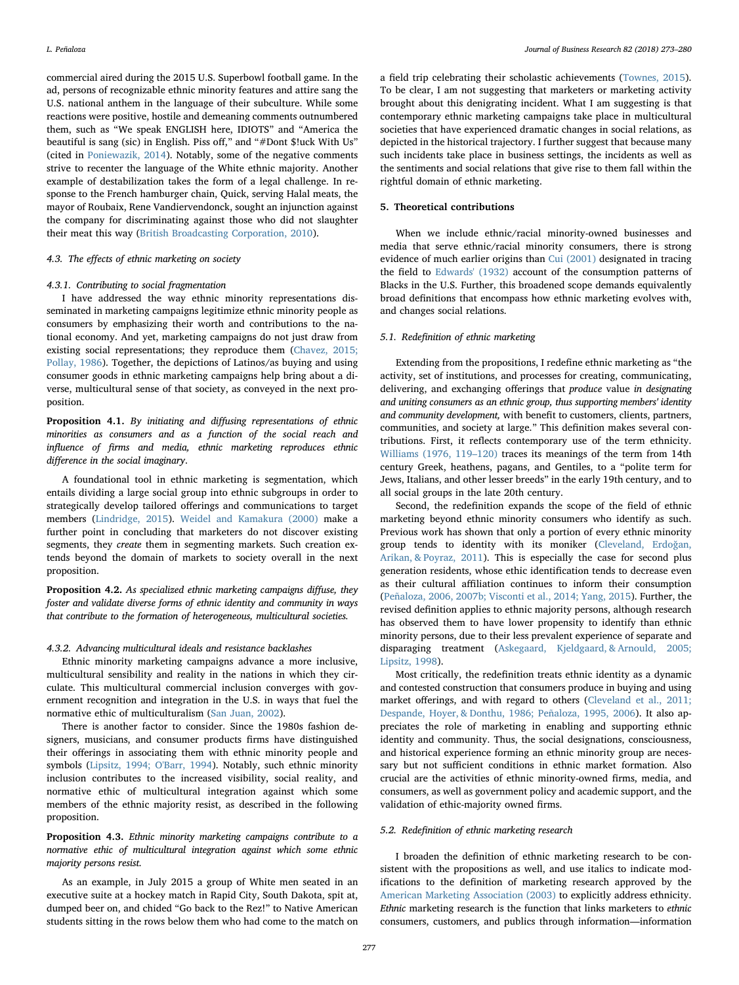commercial aired during the 2015 U.S. Superbowl football game. In the ad, persons of recognizable ethnic minority features and attire sang the U.S. national anthem in the language of their subculture. While some reactions were positive, hostile and demeaning comments outnumbered them, such as "We speak ENGLISH here, IDIOTS" and "America the beautiful is sang (sic) in English. Piss off," and "#Dont \$!uck With Us" (cited in [Poniewazik, 2014](#page-7-11)). Notably, some of the negative comments strive to recenter the language of the White ethnic majority. Another example of destabilization takes the form of a legal challenge. In response to the French hamburger chain, Quick, serving Halal meats, the mayor of Roubaix, Rene Vandiervendonck, sought an injunction against the company for discriminating against those who did not slaughter their meat this way ([British Broadcasting Corporation, 2010](#page-6-31)).

#### 4.3. The effects of ethnic marketing on society

#### 4.3.1. Contributing to social fragmentation

I have addressed the way ethnic minority representations disseminated in marketing campaigns legitimize ethnic minority people as consumers by emphasizing their worth and contributions to the national economy. And yet, marketing campaigns do not just draw from existing social representations; they reproduce them ([Chavez, 2015;](#page-6-21) [Pollay, 1986](#page-6-21)). Together, the depictions of Latinos/as buying and using consumer goods in ethnic marketing campaigns help bring about a diverse, multicultural sense of that society, as conveyed in the next proposition.

<span id="page-4-0"></span>Proposition 4.1. By initiating and diffusing representations of ethnic minorities as consumers and as a function of the social reach and influence of firms and media, ethnic marketing reproduces ethnic difference in the social imaginary.

A foundational tool in ethnic marketing is segmentation, which entails dividing a large social group into ethnic subgroups in order to strategically develop tailored offerings and communications to target members [\(Lindridge, 2015\)](#page-6-32). [Weidel and Kamakura \(2000\)](#page-7-12) make a further point in concluding that marketers do not discover existing segments, they create them in segmenting markets. Such creation extends beyond the domain of markets to society overall in the next proposition.

Proposition 4.2. As specialized ethnic marketing campaigns diffuse, they foster and validate diverse forms of ethnic identity and community in ways that contribute to the formation of heterogeneous, multicultural societies.

#### 4.3.2. Advancing multicultural ideals and resistance backlashes

Ethnic minority marketing campaigns advance a more inclusive, multicultural sensibility and reality in the nations in which they circulate. This multicultural commercial inclusion converges with government recognition and integration in the U.S. in ways that fuel the normative ethic of multiculturalism [\(San Juan, 2002](#page-7-13)).

There is another factor to consider. Since the 1980s fashion designers, musicians, and consumer products firms have distinguished their offerings in associating them with ethnic minority people and symbols ([Lipsitz, 1994; O'Barr, 1994](#page-6-33)). Notably, such ethnic minority inclusion contributes to the increased visibility, social reality, and normative ethic of multicultural integration against which some members of the ethnic majority resist, as described in the following proposition.

#### Proposition 4.3. Ethnic minority marketing campaigns contribute to a normative ethic of multicultural integration against which some ethnic majority persons resist.

As an example, in July 2015 a group of White men seated in an executive suite at a hockey match in Rapid City, South Dakota, spit at, dumped beer on, and chided "Go back to the Rez!" to Native American students sitting in the rows below them who had come to the match on a field trip celebrating their scholastic achievements [\(Townes, 2015](#page-7-14)). To be clear, I am not suggesting that marketers or marketing activity brought about this denigrating incident. What I am suggesting is that contemporary ethnic marketing campaigns take place in multicultural societies that have experienced dramatic changes in social relations, as depicted in the historical trajectory. I further suggest that because many such incidents take place in business settings, the incidents as well as the sentiments and social relations that give rise to them fall within the rightful domain of ethnic marketing.

#### 5. Theoretical contributions

When we include ethnic/racial minority-owned businesses and media that serve ethnic/racial minority consumers, there is strong evidence of much earlier origins than [Cui \(2001\)](#page-6-1) designated in tracing the field to [Edwards' \(1932\)](#page-6-22) account of the consumption patterns of Blacks in the U.S. Further, this broadened scope demands equivalently broad definitions that encompass how ethnic marketing evolves with, and changes social relations.

#### 5.1. Redefinition of ethnic marketing

Extending from the propositions, I redefine ethnic marketing as "the activity, set of institutions, and processes for creating, communicating, delivering, and exchanging offerings that produce value in designating and uniting consumers as an ethnic group, thus supporting members' identity and community development, with benefit to customers, clients, partners, communities, and society at large." This definition makes several contributions. First, it reflects contemporary use of the term ethnicity. [Williams \(1976, 119](#page-7-15)–120) traces its meanings of the term from 14th century Greek, heathens, pagans, and Gentiles, to a "polite term for Jews, Italians, and other lesser breeds" in the early 19th century, and to all social groups in the late 20th century.

Second, the redefinition expands the scope of the field of ethnic marketing beyond ethnic minority consumers who identify as such. Previous work has shown that only a portion of every ethnic minority group tends to identity with its moniker ([Cleveland, Erdo](#page-6-34)ğan, [Arikan, & Poyraz, 2011\)](#page-6-34). This is especially the case for second plus generation residents, whose ethic identification tends to decrease even as their cultural affiliation continues to inform their consumption ([Peñaloza, 2006, 2007b; Visconti et al., 2014; Yang, 2015\)](#page-7-5). Further, the revised definition applies to ethnic majority persons, although research has observed them to have lower propensity to identify than ethnic minority persons, due to their less prevalent experience of separate and disparaging treatment ([Askegaard, Kjeldgaard, & Arnould, 2005;](#page-6-35) [Lipsitz, 1998\)](#page-6-35).

Most critically, the redefinition treats ethnic identity as a dynamic and contested construction that consumers produce in buying and using market offerings, and with regard to others [\(Cleveland et al., 2011;](#page-6-34) [Despande, Hoyer, & Donthu, 1986; Peñaloza, 1995, 2006](#page-6-34)). It also appreciates the role of marketing in enabling and supporting ethnic identity and community. Thus, the social designations, consciousness, and historical experience forming an ethnic minority group are necessary but not sufficient conditions in ethnic market formation. Also crucial are the activities of ethnic minority-owned firms, media, and consumers, as well as government policy and academic support, and the validation of ethic-majority owned firms.

#### 5.2. Redefinition of ethnic marketing research

I broaden the definition of ethnic marketing research to be consistent with the propositions as well, and use italics to indicate modifications to the definition of marketing research approved by the [American Marketing Association \(2003\)](#page-6-36) to explicitly address ethnicity. Ethnic marketing research is the function that links marketers to ethnic consumers, customers, and publics through information—information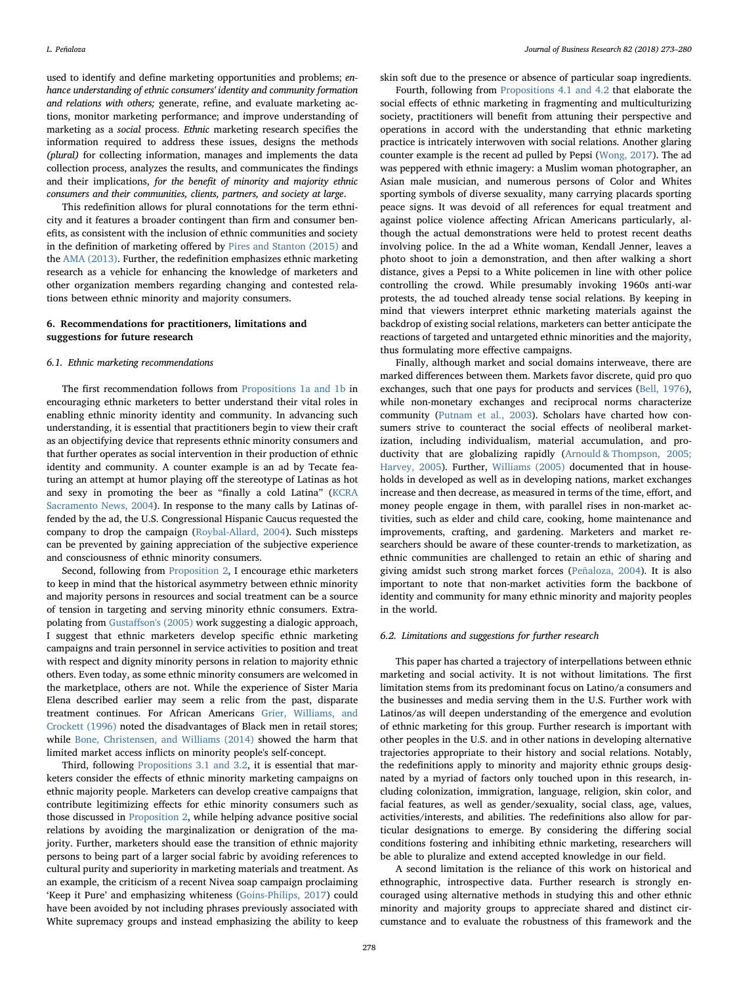used to identify and define marketing opportunities and problems; enhance understanding of ethnic consumers' identity and community formation and relations with others; generate, refine, and evaluate marketing actions, monitor marketing performance; and improve understanding of marketing as a social process. Ethnic marketing research specifies the information required to address these issues, designs the methods (plural) for collecting information, manages and implements the data collection process, analyzes the results, and communicates the findings and their implications, for the benefit of minority and majority ethnic consumers and their communities, clients, partners, and society at large.

This redefinition allows for plural connotations for the term ethnicity and it features a broader contingent than firm and consumer benefits, as consistent with the inclusion of ethnic communities and society in the definition of marketing offered by [Pires and Stanton \(2015\)](#page-7-0) and the [AMA \(2013\).](#page-6-2) Further, the redefinition emphasizes ethnic marketing research as a vehicle for enhancing the knowledge of marketers and other organization members regarding changing and contested relations between ethnic minority and majority consumers.

#### 6. Recommendations for practitioners, limitations and suggestions for future research

#### 6.1. Ethnic marketing recommendations

The first recommendation follows from [Propositions 1a and 1b](#page-3-1) in encouraging ethnic marketers to better understand their vital roles in enabling ethnic minority identity and community. In advancing such understanding, it is essential that practitioners begin to view their craft as an objectifying device that represents ethnic minority consumers and that further operates as social intervention in their production of ethnic identity and community. A counter example is an ad by Tecate featuring an attempt at humor playing off the stereotype of Latinas as hot and sexy in promoting the beer as "finally a cold Latina" [\(KCRA](#page-7-16) [Sacramento News, 2004\)](#page-7-16). In response to the many calls by Latinas offended by the ad, the U.S. Congressional Hispanic Caucus requested the company to drop the campaign ([Roybal-Allard, 2004](#page-7-17)). Such missteps can be prevented by gaining appreciation of the subjective experience and consciousness of ethnic minority consumers.

Second, following from [Proposition 2,](#page-3-0) I encourage ethic marketers to keep in mind that the historical asymmetry between ethnic minority and majority persons in resources and social treatment can be a source of tension in targeting and serving minority ethnic consumers. Extrapolating from Gustaff[son's \(2005\)](#page-6-37) work suggesting a dialogic approach, I suggest that ethnic marketers develop specific ethnic marketing campaigns and train personnel in service activities to position and treat with respect and dignity minority persons in relation to majority ethnic others. Even today, as some ethnic minority consumers are welcomed in the marketplace, others are not. While the experience of Sister Maria Elena described earlier may seem a relic from the past, disparate treatment continues. For African Americans [Grier, Williams, and](#page-6-38) [Crockett \(1996\)](#page-6-38) noted the disadvantages of Black men in retail stores; while [Bone, Christensen, and Williams \(2014\)](#page-6-39) showed the harm that limited market access inflicts on minority people's self-concept.

Third, following [Propositions 3.1 and 3.2,](#page-3-2) it is essential that marketers consider the effects of ethnic minority marketing campaigns on ethnic majority people. Marketers can develop creative campaigns that contribute legitimizing effects for ethic minority consumers such as those discussed in [Proposition 2](#page-3-0), while helping advance positive social relations by avoiding the marginalization or denigration of the majority. Further, marketers should ease the transition of ethnic majority persons to being part of a larger social fabric by avoiding references to cultural purity and superiority in marketing materials and treatment. As an example, the criticism of a recent Nivea soap campaign proclaiming 'Keep it Pure' and emphasizing whiteness [\(Goins-Philips, 2017](#page-6-40)) could have been avoided by not including phrases previously associated with White supremacy groups and instead emphasizing the ability to keep skin soft due to the presence or absence of particular soap ingredients.

Fourth, following from [Propositions 4.1 and 4.2](#page-4-0) that elaborate the social effects of ethnic marketing in fragmenting and multiculturizing society, practitioners will benefit from attuning their perspective and operations in accord with the understanding that ethnic marketing practice is intricately interwoven with social relations. Another glaring counter example is the recent ad pulled by Pepsi [\(Wong, 2017](#page-7-18)). The ad was peppered with ethnic imagery: a Muslim woman photographer, an Asian male musician, and numerous persons of Color and Whites sporting symbols of diverse sexuality, many carrying placards sporting peace signs. It was devoid of all references for equal treatment and against police violence affecting African Americans particularly, although the actual demonstrations were held to protest recent deaths involving police. In the ad a White woman, Kendall Jenner, leaves a photo shoot to join a demonstration, and then after walking a short distance, gives a Pepsi to a White policemen in line with other police controlling the crowd. While presumably invoking 1960s anti-war protests, the ad touched already tense social relations. By keeping in mind that viewers interpret ethnic marketing materials against the backdrop of existing social relations, marketers can better anticipate the reactions of targeted and untargeted ethnic minorities and the majority, thus formulating more effective campaigns.

Finally, although market and social domains interweave, there are marked differences between them. Markets favor discrete, quid pro quo exchanges, such that one pays for products and services ([Bell, 1976](#page-6-23)), while non-monetary exchanges and reciprocal norms characterize community ([Putnam et al., 2003\)](#page-7-19). Scholars have charted how consumers strive to counteract the social effects of neoliberal marketization, including individualism, material accumulation, and productivity that are globalizing rapidly ([Arnould & Thompson, 2005;](#page-6-41) [Harvey, 2005\)](#page-6-41). Further, [Williams \(2005\)](#page-7-20) documented that in households in developed as well as in developing nations, market exchanges increase and then decrease, as measured in terms of the time, effort, and money people engage in them, with parallel rises in non-market activities, such as elder and child care, cooking, home maintenance and improvements, crafting, and gardening. Marketers and market researchers should be aware of these counter-trends to marketization, as ethnic communities are challenged to retain an ethic of sharing and giving amidst such strong market forces [\(Peñaloza,](#page-7-21) 2004). It is also important to note that non-market activities form the backbone of identity and community for many ethnic minority and majority peoples in the world.

#### 6.2. Limitations and suggestions for further research

This paper has charted a trajectory of interpellations between ethnic marketing and social activity. It is not without limitations. The first limitation stems from its predominant focus on Latino/a consumers and the businesses and media serving them in the U.S. Further work with Latinos/as will deepen understanding of the emergence and evolution of ethnic marketing for this group. Further research is important with other peoples in the U.S. and in other nations in developing alternative trajectories appropriate to their history and social relations. Notably, the redefinitions apply to minority and majority ethnic groups designated by a myriad of factors only touched upon in this research, including colonization, immigration, language, religion, skin color, and facial features, as well as gender/sexuality, social class, age, values, activities/interests, and abilities. The redefinitions also allow for particular designations to emerge. By considering the differing social conditions fostering and inhibiting ethnic marketing, researchers will be able to pluralize and extend accepted knowledge in our field.

A second limitation is the reliance of this work on historical and ethnographic, introspective data. Further research is strongly encouraged using alternative methods in studying this and other ethnic minority and majority groups to appreciate shared and distinct circumstance and to evaluate the robustness of this framework and the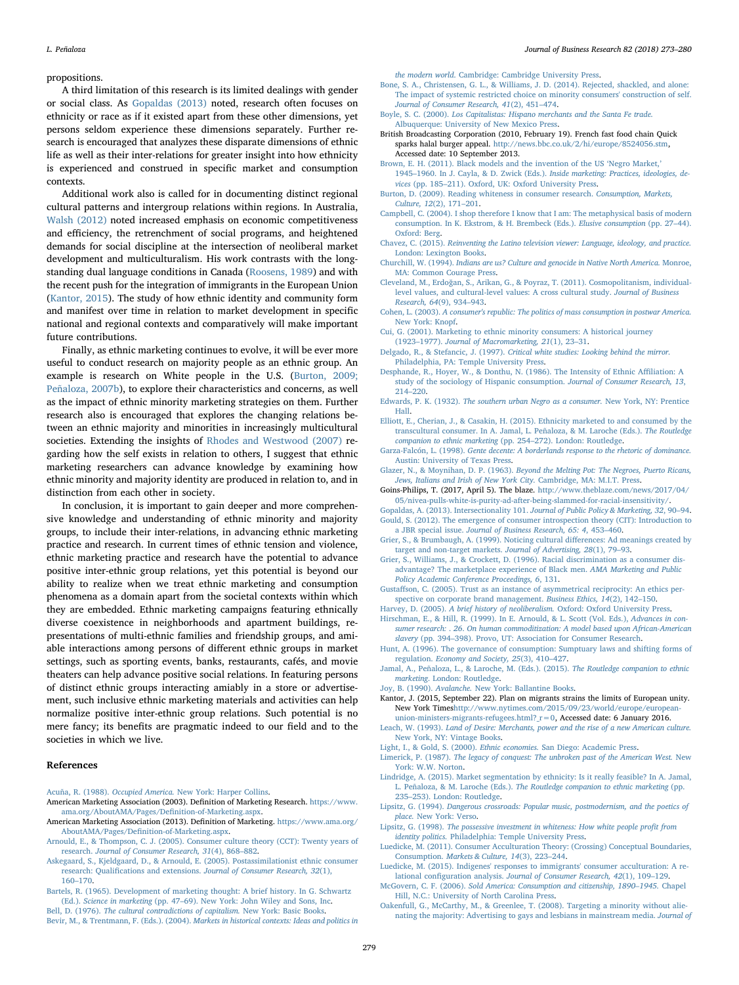#### propositions.

A third limitation of this research is its limited dealings with gender or social class. As [Gopaldas \(2013\)](#page-6-42) noted, research often focuses on ethnicity or race as if it existed apart from these other dimensions, yet persons seldom experience these dimensions separately. Further research is encouraged that analyzes these disparate dimensions of ethnic life as well as their inter-relations for greater insight into how ethnicity is experienced and construed in specific market and consumption contexts.

Additional work also is called for in documenting distinct regional cultural patterns and intergroup relations within regions. In Australia, [Walsh \(2012\)](#page-7-22) noted increased emphasis on economic competitiveness and efficiency, the retrenchment of social programs, and heightened demands for social discipline at the intersection of neoliberal market development and multiculturalism. His work contrasts with the longstanding dual language conditions in Canada [\(Roosens, 1989](#page-7-23)) and with the recent push for the integration of immigrants in the European Union ([Kantor, 2015](#page-6-43)). The study of how ethnic identity and community form and manifest over time in relation to market development in specific national and regional contexts and comparatively will make important future contributions.

Finally, as ethnic marketing continues to evolve, it will be ever more useful to conduct research on majority people as an ethnic group. An example is research on White people in the U.S. [\(Burton, 2009;](#page-6-44) [Peñaloza, 2007b](#page-6-44)), to explore their characteristics and concerns, as well as the impact of ethnic minority marketing strategies on them. Further research also is encouraged that explores the changing relations between an ethnic majority and minorities in increasingly multicultural societies. Extending the insights of [Rhodes and Westwood \(2007\)](#page-7-24) regarding how the self exists in relation to others, I suggest that ethnic marketing researchers can advance knowledge by examining how ethnic minority and majority identity are produced in relation to, and in distinction from each other in society.

In conclusion, it is important to gain deeper and more comprehensive knowledge and understanding of ethnic minority and majority groups, to include their inter-relations, in advancing ethnic marketing practice and research. In current times of ethnic tension and violence, ethnic marketing practice and research have the potential to advance positive inter-ethnic group relations, yet this potential is beyond our ability to realize when we treat ethnic marketing and consumption phenomena as a domain apart from the societal contexts within which they are embedded. Ethnic marketing campaigns featuring ethnically diverse coexistence in neighborhoods and apartment buildings, representations of multi-ethnic families and friendship groups, and amiable interactions among persons of different ethnic groups in market settings, such as sporting events, banks, restaurants, cafés, and movie theaters can help advance positive social relations. In featuring persons of distinct ethnic groups interacting amiably in a store or advertisement, such inclusive ethnic marketing materials and activities can help normalize positive inter-ethnic group relations. Such potential is no mere fancy; its benefits are pragmatic indeed to our field and to the societies in which we live.

#### References

<span id="page-6-10"></span>Acuña, R. (1988). Occupied America. [New York: Harper Collins](http://refhub.elsevier.com/S0148-2963(17)30315-6/rf0005).

<span id="page-6-36"></span>American Marketing Association (2003). Definition of Marketing Research. [https://www.](https://www.ama.org/AboutAMA/Pages/Definition-of-Marketing.aspx) [ama.org/AboutAMA/Pages/De](https://www.ama.org/AboutAMA/Pages/Definition-of-Marketing.aspx)finition-of-Marketing.aspx.

- <span id="page-6-2"></span>American Marketing Association (2013). Definition of Marketing. [https://www.ama.org/](https://www.ama.org/AboutAMA/Pages/Definition-of-Marketing.aspx) AboutAMA/Pages/Defi[nition-of-Marketing.aspx](https://www.ama.org/AboutAMA/Pages/Definition-of-Marketing.aspx).
- <span id="page-6-41"></span>[Arnould, E., & Thompson, C. J. \(2005\). Consumer culture theory \(CCT\): Twenty years of](http://refhub.elsevier.com/S0148-2963(17)30315-6/rf0010) research. [Journal of Consumer Research, 31](http://refhub.elsevier.com/S0148-2963(17)30315-6/rf0010)(4), 868–882.
- <span id="page-6-35"></span>[Askegaard, S., Kjeldgaard, D., & Arnould, E. \(2005\). Postassimilationist ethnic consumer](http://refhub.elsevier.com/S0148-2963(17)30315-6/rf0015) research: Qualifications and extensions. [Journal of Consumer Research, 32](http://refhub.elsevier.com/S0148-2963(17)30315-6/rf0015)(1), 160–[170](http://refhub.elsevier.com/S0148-2963(17)30315-6/rf0015).
- <span id="page-6-11"></span>[Bartels, R. \(1965\). Development of marketing thought: A brief history. In G. Schwartz](http://refhub.elsevier.com/S0148-2963(17)30315-6/rf0020) (Ed.). Science in marketing (pp. 47–[69\). New York: John Wiley and Sons, Inc.](http://refhub.elsevier.com/S0148-2963(17)30315-6/rf0020) Bell, D. (1976). [The cultural contradictions of capitalism.](http://refhub.elsevier.com/S0148-2963(17)30315-6/rf0025) New York: Basic Books.
- <span id="page-6-23"></span><span id="page-6-5"></span>Bevir, M., & Trentmann, F. (Eds.). (2004). [Markets in historical contexts: Ideas and politics in](http://refhub.elsevier.com/S0148-2963(17)30315-6/rf0030)

the modern world[. Cambridge: Cambridge University Press.](http://refhub.elsevier.com/S0148-2963(17)30315-6/rf0030)

- <span id="page-6-39"></span>[Bone, S. A., Christensen, G. L., & Williams, J. D. \(2014\). Rejected, shackled, and alone:](http://refhub.elsevier.com/S0148-2963(17)30315-6/rf0035) [The impact of systemic restricted choice on minority consumers' construction of self.](http://refhub.elsevier.com/S0148-2963(17)30315-6/rf0035) [Journal of Consumer Research, 41](http://refhub.elsevier.com/S0148-2963(17)30315-6/rf0035)(2), 451–474.
- <span id="page-6-14"></span>Boyle, S. C. (2000). [Los Capitalistas: Hispano merchants and the Santa Fe trade.](http://refhub.elsevier.com/S0148-2963(17)30315-6/rf0040) [Albuquerque: University of New Mexico Press](http://refhub.elsevier.com/S0148-2963(17)30315-6/rf0040).
- <span id="page-6-31"></span>British Broadcasting Corporation (2010, February 19). French fast food chain Quick sparks halal burger appeal. [http://news.bbc.co.uk/2/hi/europe/8524056.stm,](http://news.bbc.co.uk/2/hi/europe/8524056.stm) Accessed date: 10 September 2013.
- <span id="page-6-15"></span>[Brown, E. H. \(2011\). Black models and the invention of the US](http://refhub.elsevier.com/S0148-2963(17)30315-6/rf0050) 'Negro Market,' 1945–1960. In J. Cayla, & D. Zwick (Eds.). [Inside marketing: Practices, ideologies, de](http://refhub.elsevier.com/S0148-2963(17)30315-6/rf0050)vices (pp. 185–[211\). Oxford, UK: Oxford University Press.](http://refhub.elsevier.com/S0148-2963(17)30315-6/rf0050)
- <span id="page-6-44"></span>[Burton, D. \(2009\). Reading whiteness in consumer research.](http://refhub.elsevier.com/S0148-2963(17)30315-6/rf0055) Consumption, Markets, [Culture, 12](http://refhub.elsevier.com/S0148-2963(17)30315-6/rf0055)(2), 171–201.
- <span id="page-6-26"></span>[Campbell, C. \(2004\). I shop therefore I know that I am: The metaphysical basis of modern](http://refhub.elsevier.com/S0148-2963(17)30315-6/rf0060) [consumption. In K. Ekstrom, & H. Brembeck \(Eds.\).](http://refhub.elsevier.com/S0148-2963(17)30315-6/rf0060) Elusive consumption (pp. 27–44). [Oxford: Berg.](http://refhub.elsevier.com/S0148-2963(17)30315-6/rf0060)
- <span id="page-6-21"></span>Chavez, C. (2015). [Reinventing the Latino television viewer: Language, ideology, and practice.](http://refhub.elsevier.com/S0148-2963(17)30315-6/rf0065) [London: Lexington Books](http://refhub.elsevier.com/S0148-2963(17)30315-6/rf0065).
- <span id="page-6-9"></span>Churchill, W. (1994). Indians [are us? Culture and genocide in Native North America.](http://refhub.elsevier.com/S0148-2963(17)30315-6/rf0070) Monroe, [MA: Common Courage Press.](http://refhub.elsevier.com/S0148-2963(17)30315-6/rf0070)
- <span id="page-6-34"></span>Cleveland, M., Erdoğ[an, S., Arikan, G., & Poyraz, T. \(2011\). Cosmopolitanism, individual](http://refhub.elsevier.com/S0148-2963(17)30315-6/rf0075)[level values, and cultural-level values: A cross cultural study.](http://refhub.elsevier.com/S0148-2963(17)30315-6/rf0075) Journal of Business [Research, 64](http://refhub.elsevier.com/S0148-2963(17)30315-6/rf0075)(9), 934–943.
- <span id="page-6-20"></span>Cohen, L. (2003). [A consumer's republic: The politics of mass consumption in postwar America.](http://refhub.elsevier.com/S0148-2963(17)30315-6/rf0080) [New York: Knopf](http://refhub.elsevier.com/S0148-2963(17)30315-6/rf0080).
- <span id="page-6-1"></span>[Cui, G. \(2001\). Marketing to ethnic minority consumers: A historical journey](http://refhub.elsevier.com/S0148-2963(17)30315-6/rf0085) (1923–1977). [Journal of Macromarketing, 21](http://refhub.elsevier.com/S0148-2963(17)30315-6/rf0085)(1), 23–31.
- <span id="page-6-30"></span>Delgado, R., & Stefancic, J. (1997). [Critical white studies: Looking behind the mirror.](http://refhub.elsevier.com/S0148-2963(17)30315-6/rf0090) [Philadelphia, PA: Temple University Press](http://refhub.elsevier.com/S0148-2963(17)30315-6/rf0090).
- [Desphande, R., Hoyer, W., & Donthu, N. \(1986\). The Intensity of Ethnic A](http://refhub.elsevier.com/S0148-2963(17)30315-6/rf2030)ffiliation: A [study of the sociology of Hispanic consumption.](http://refhub.elsevier.com/S0148-2963(17)30315-6/rf2030) Journal of Consumer Research, 13, 214–[220](http://refhub.elsevier.com/S0148-2963(17)30315-6/rf2030).
- <span id="page-6-22"></span>Edwards, P. K. (1932). [The southern urban Negro as a consumer.](http://refhub.elsevier.com/S0148-2963(17)30315-6/rf2020) New York, NY: Prentice [Hall](http://refhub.elsevier.com/S0148-2963(17)30315-6/rf2020).
- <span id="page-6-24"></span>[Elliott, E., Cherian, J., & Casakin, H. \(2015\). Ethnicity marketed to and consumed by the](http://refhub.elsevier.com/S0148-2963(17)30315-6/rf0095) [transcultural consumer. In A. Jamal, L. Peñaloza, & M. Laroche \(Eds.\).](http://refhub.elsevier.com/S0148-2963(17)30315-6/rf0095) The Routledge [companion to ethnic marketing](http://refhub.elsevier.com/S0148-2963(17)30315-6/rf0095) (pp. 254–272). London: Routledge.
- <span id="page-6-12"></span>Garza-Falcón, L. (1998). [Gente decente: A borderlands response to the rhetoric of dominance.](http://refhub.elsevier.com/S0148-2963(17)30315-6/rf0100) [Austin: University of Texas Press](http://refhub.elsevier.com/S0148-2963(17)30315-6/rf0100).
- <span id="page-6-16"></span>Glazer, N., & Moynihan, D. P. (1963). [Beyond the Melting Pot: The Negroes, Puerto Ricans,](http://refhub.elsevier.com/S0148-2963(17)30315-6/rf2010) [Jews, Italians and Irish of New York City.](http://refhub.elsevier.com/S0148-2963(17)30315-6/rf2010) Cambridge, MA: M.I.T. Press.
- <span id="page-6-40"></span>Goins-Philips, T. (2017, April 5). The blaze. [http://www.theblaze.com/news/2017/04/](http://www.theblaze.com/news/2017/04/05/nivea-pulls-white-is-purity-ad-after-being-slammed-for-racial-insensitivity/) 05/nivea-pulls-white-is-purity-ad-after-being-slammed-for-racial-insensitivity/  $\,$
- <span id="page-6-42"></span><span id="page-6-6"></span>[Gopaldas, A. \(2013\). Intersectionality 101.](http://refhub.elsevier.com/S0148-2963(17)30315-6/rf0110) Journal of Public Policy & Marketing, 32, 90–94. [Gould, S. \(2012\). The emergence of consumer introspection theory \(CIT\): Introduction to](http://refhub.elsevier.com/S0148-2963(17)30315-6/rf0115) a JBR special issue. [Journal of Business Research, 65: 4](http://refhub.elsevier.com/S0148-2963(17)30315-6/rf0115), 453–460.
- <span id="page-6-27"></span>[Grier, S., & Brumbaugh, A. \(1999\). Noticing cultural di](http://refhub.elsevier.com/S0148-2963(17)30315-6/rf0120)fferences: Ad meanings created by [target and non-target markets.](http://refhub.elsevier.com/S0148-2963(17)30315-6/rf0120) Journal of Advertising, 28(1), 79–93.
- <span id="page-6-38"></span>[Grier, S., Williams, J., & Crockett, D. \(1996\). Racial discrimination as a consumer dis](http://refhub.elsevier.com/S0148-2963(17)30315-6/rf0125)[advantage? The marketplace experience of Black men.](http://refhub.elsevier.com/S0148-2963(17)30315-6/rf0125) AMA Marketing and Public [Policy Academic Conference Proceedings, 6](http://refhub.elsevier.com/S0148-2963(17)30315-6/rf0125), 131.
- <span id="page-6-37"></span>Gustaff[son, C. \(2005\). Trust as an instance of asymmetrical reciprocity: An ethics per](http://refhub.elsevier.com/S0148-2963(17)30315-6/rf0130)[spective on corporate brand management.](http://refhub.elsevier.com/S0148-2963(17)30315-6/rf0130) Business Ethics, 14(2), 142–150.
- <span id="page-6-25"></span><span id="page-6-8"></span>Harvey, D. (2005). A brief history of neoliberalism. [Oxford: Oxford University Press](http://refhub.elsevier.com/S0148-2963(17)30315-6/rf0135). [Hirschman, E., & Hill, R. \(1999\). In E. Arnould, & L. Scott \(Vol. Eds.\),](http://refhub.elsevier.com/S0148-2963(17)30315-6/rf0140) Advances in consumer research: . 26. [On human commoditization: A model based upon African-American](http://refhub.elsevier.com/S0148-2963(17)30315-6/rf0140)
- <span id="page-6-7"></span>slavery (pp. 394–[398\). Provo, UT: Association for Consumer Research.](http://refhub.elsevier.com/S0148-2963(17)30315-6/rf0140) [Hunt, A. \(1996\). The governance of consumption: Sumptuary laws and shifting forms of](http://refhub.elsevier.com/S0148-2963(17)30315-6/rf0145) regulation. [Economy and Society, 25](http://refhub.elsevier.com/S0148-2963(17)30315-6/rf0145)(3), 410–427.
- <span id="page-6-3"></span>[Jamal, A., Peñaloza, L., & Laroche, M. \(Eds.\). \(2015\).](http://refhub.elsevier.com/S0148-2963(17)30315-6/rf0150) The Routledge companion to ethnic marketing[. London: Routledge](http://refhub.elsevier.com/S0148-2963(17)30315-6/rf0150).
- <span id="page-6-0"></span>Joy, B. (1990). Avalanche. [New York: Ballantine Books.](http://refhub.elsevier.com/S0148-2963(17)30315-6/rf2040)

<span id="page-6-43"></span>Kantor, J. (2015, September 22). Plan on migrants strains the limits of European unity. New York Times[http://www.nytimes.com/2015/09/23/world/europe/european](http://www.nytimes.com/2015/09/23/world/europe/european-union-ministers-migrants-refugees.html?_r=0)union-ministers-migrants-refugees.html?\_r = 0, Accessed date: 6 January 2016.

- <span id="page-6-18"></span>Leach, W. (1993). [Land of Desire: Merchants, power and the rise of a new American culture.](http://refhub.elsevier.com/S0148-2963(17)30315-6/rf2015) [New York, NY: Vintage Books.](http://refhub.elsevier.com/S0148-2963(17)30315-6/rf2015)
- <span id="page-6-17"></span>[Light, I., & Gold, S. \(2000\).](http://refhub.elsevier.com/S0148-2963(17)30315-6/rf0160) Ethnic economies. San Diego: Academic Press.
- <span id="page-6-13"></span>Limerick, P. (1987). [The legacy of conquest: The unbroken past of the American West.](http://refhub.elsevier.com/S0148-2963(17)30315-6/rf0165) New [York: W.W. Norton](http://refhub.elsevier.com/S0148-2963(17)30315-6/rf0165).
- <span id="page-6-32"></span>[Lindridge, A. \(2015\). Market segmentation by ethnicity: Is it really feasible? In A. Jamal,](http://refhub.elsevier.com/S0148-2963(17)30315-6/rf0170) L. Peñaloza, & M. Laroche (Eds.). [The Routledge companion to ethnic marketing](http://refhub.elsevier.com/S0148-2963(17)30315-6/rf0170) (pp. 235–[253\). London: Routledge](http://refhub.elsevier.com/S0148-2963(17)30315-6/rf0170).
- <span id="page-6-33"></span>Lipsitz, G. (1994). [Dangerous crossroads: Popular music, postmodernism, and the poetics of](http://refhub.elsevier.com/S0148-2963(17)30315-6/rf0175) place. [New York: Verso](http://refhub.elsevier.com/S0148-2963(17)30315-6/rf0175).
- Lipsitz, G. (1998). [The possessive investment in whiteness: How white people pro](http://refhub.elsevier.com/S0148-2963(17)30315-6/rf0180)fit from identity politics. [Philadelphia: Temple University Press](http://refhub.elsevier.com/S0148-2963(17)30315-6/rf0180).
- <span id="page-6-4"></span>[Luedicke, M. \(2011\). Consumer Acculturation Theory: \(Crossing\) Conceptual Boundaries,](http://refhub.elsevier.com/S0148-2963(17)30315-6/rf2005) Consumption. [Markets & Culture, 14](http://refhub.elsevier.com/S0148-2963(17)30315-6/rf2005)(3), 223–244.
- <span id="page-6-29"></span>[Luedicke, M. \(2015\). Indigenes' responses to immigrants' consumer acculturation: A re](http://refhub.elsevier.com/S0148-2963(17)30315-6/rf0185)lational configuration analysis. [Journal of Consumer Research, 42](http://refhub.elsevier.com/S0148-2963(17)30315-6/rf0185)(1), 109–129.
- <span id="page-6-19"></span>McGovern, C. F. (2006). [Sold America: Consumption and citizenship, 1890](http://refhub.elsevier.com/S0148-2963(17)30315-6/rf0190)–1945. Chapel [Hill, N.C.: University of North Carolina Press.](http://refhub.elsevier.com/S0148-2963(17)30315-6/rf0190)
- <span id="page-6-28"></span>[Oakenfull, G., McCarthy, M., & Greenlee, T. \(2008\). Targeting a minority without alie](http://refhub.elsevier.com/S0148-2963(17)30315-6/rf0195)[nating the majority: Advertising to gays and lesbians in mainstream media.](http://refhub.elsevier.com/S0148-2963(17)30315-6/rf0195) Journal of